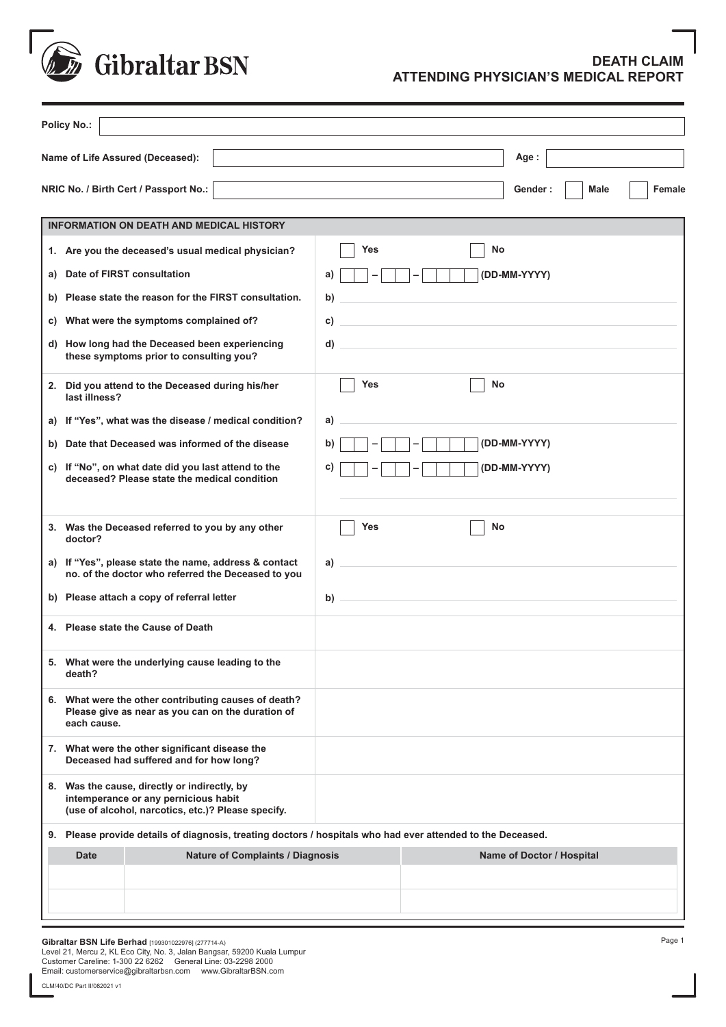

## **DEATH CLAIM ATTENDING PHYSICIAN'S MEDICAL REPORT**

|    | <b>Policy No.:</b>                                                                                                                         |                                                                                  |
|----|--------------------------------------------------------------------------------------------------------------------------------------------|----------------------------------------------------------------------------------|
|    | Name of Life Assured (Deceased):                                                                                                           | Age:                                                                             |
|    | NRIC No. / Birth Cert / Passport No.:                                                                                                      | <b>Female</b><br>Gender:<br>Male                                                 |
|    | <b>INFORMATION ON DEATH AND MEDICAL HISTORY</b>                                                                                            |                                                                                  |
|    | 1. Are you the deceased's usual medical physician?                                                                                         | No<br><b>Yes</b>                                                                 |
| a) | Date of FIRST consultation                                                                                                                 | (DD-MM-YYYY)<br>a)                                                               |
|    | b) Please state the reason for the FIRST consultation.                                                                                     | b)                                                                               |
| C) | What were the symptoms complained of?                                                                                                      | C)                                                                               |
|    | d) How long had the Deceased been experiencing<br>these symptoms prior to consulting you?                                                  | <u> 1989 - Johann Stein, mars an deus Amerikaansk kommunister (</u><br>d)        |
|    | 2. Did you attend to the Deceased during his/her<br>last illness?                                                                          | Yes<br>No                                                                        |
|    | a) If "Yes", what was the disease / medical condition?                                                                                     | a)                                                                               |
|    | b) Date that Deceased was informed of the disease                                                                                          | (DD-MM-YYYY)<br>b)                                                               |
|    | c) If "No", on what date did you last attend to the<br>deceased? Please state the medical condition                                        | C)<br>(DD-MM-YYYY)                                                               |
|    | 3. Was the Deceased referred to you by any other<br>doctor?                                                                                | No<br>Yes                                                                        |
|    | a) If "Yes", please state the name, address & contact<br>no. of the doctor who referred the Deceased to you                                | a)<br>the control of the control of the control of the control of the control of |
|    | b) Please attach a copy of referral letter                                                                                                 | <u> 1980 - Johann Barbara, martxa alemaniar a</u><br>b)                          |
|    | 4. Please state the Cause of Death                                                                                                         |                                                                                  |
|    | 5. What were the underlying cause leading to the<br>death?                                                                                 |                                                                                  |
|    | 6. What were the other contributing causes of death?<br>Please give as near as you can on the duration of<br>each cause.                   |                                                                                  |
|    | 7. What were the other significant disease the<br>Deceased had suffered and for how long?                                                  |                                                                                  |
|    | 8. Was the cause, directly or indirectly, by<br>intemperance or any pernicious habit<br>(use of alcohol, narcotics, etc.)? Please specify. |                                                                                  |
|    | 9. Please provide details of diagnosis, treating doctors / hospitals who had ever attended to the Deceased.                                |                                                                                  |
|    | <b>Nature of Complaints / Diagnosis</b><br><b>Date</b>                                                                                     | Name of Doctor / Hospital                                                        |
|    |                                                                                                                                            |                                                                                  |

**Gibraltar BSN Life Berhad** [199301022976] (277714-A)<br>Level 21, Mercu 2, KL Eco City, No. 3, Jalan Bangsar, 59200 Kuala Lumpur<br>Customer Careline: 1-300 22 6262<br>Email: customerservice@gibraltarbsn.com www.GibraltarBSN.c